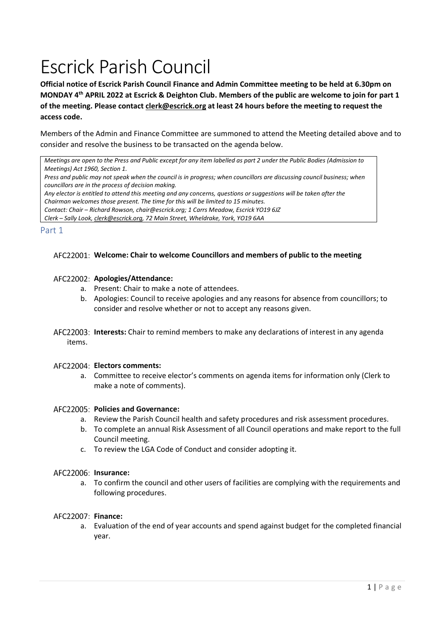# Escrick Parish Council

**Official notice of Escrick Parish Council Finance and Admin Committee meeting to be held at 6.30pm on MONDAY 4 th APRIL 2022 at Escrick & Deighton Club. Members of the public are welcome to join for part 1 of the meeting. Please contact [clerk@escrick.org](mailto:clerk@escrick.org) at least 24 hours before the meeting to request the access code.** 

Members of the Admin and Finance Committee are summoned to attend the Meeting detailed above and to consider and resolve the business to be transacted on the agenda below.

*Meetings are open to the Press and Public except for any item labelled as part 2 under the Public Bodies (Admission to Meetings) Act 1960, Section 1.*

*Press and public may not speak when the council is in progress; when councillors are discussing council business; when councillors are in the process of decision making.*

*Any elector is entitled to attend this meeting and any concerns, questions or suggestions will be taken after the* 

*Chairman welcomes those present. The time for this will be limited to 15 minutes.*

*Contact: Chair – Richard Rowson, chair@escrick.org; 1 Carrs Meadow, Escrick YO19 6JZ*

*Clerk – Sally Look[, clerk@escrick.org,](mailto:clerk@escrick.org) 72 Main Street, Wheldrake, York, YO19 6AA*

#### Part 1

# **Welcome: Chair to welcome Councillors and members of public to the meeting**

# AFC22002: Apologies/Attendance:

- a. Present: Chair to make a note of attendees.
- b. Apologies: Council to receive apologies and any reasons for absence from councillors; to consider and resolve whether or not to accept any reasons given.
- **Interests:** Chair to remind members to make any declarations of interest in any agenda items.

#### **Electors comments:**

a. Committee to receive elector's comments on agenda items for information only (Clerk to make a note of comments).

#### AFC22005: Policies and Governance:

- a. Review the Parish Council health and safety procedures and risk assessment procedures.
- b. To complete an annual Risk Assessment of all Council operations and make report to the full Council meeting.
- c. To review the LGA Code of Conduct and consider adopting it.

### AFC22006: Insurance:

a. To confirm the council and other users of facilities are complying with the requirements and following procedures.

# **Finance:**

a. Evaluation of the end of year accounts and spend against budget for the completed financial year.